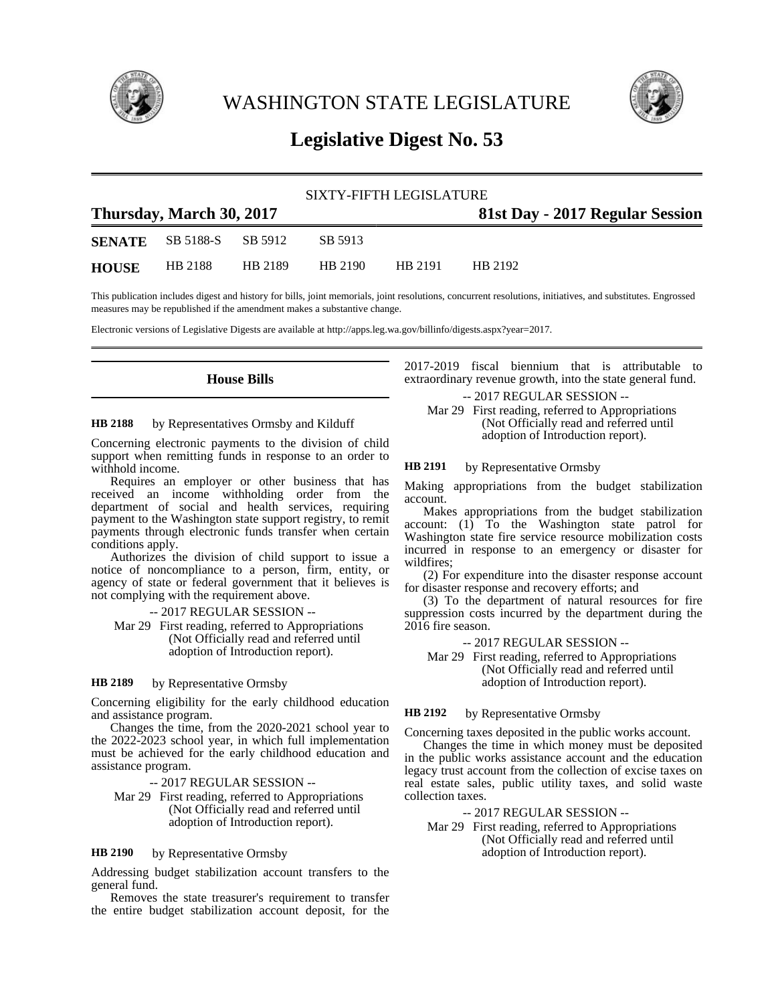

WASHINGTON STATE LEGISLATURE



# **Legislative Digest No. 53**

| SIXTY-FIFTH LEGISLATURE  |                                 |         |         |         |                                 |  |  |
|--------------------------|---------------------------------|---------|---------|---------|---------------------------------|--|--|
| Thursday, March 30, 2017 |                                 |         |         |         | 81st Day - 2017 Regular Session |  |  |
|                          | <b>SENATE</b> SB 5188-S SB 5912 |         | SB 5913 |         |                                 |  |  |
| <b>HOUSE</b>             | HB 2188                         | HB 2189 | HB 2190 | HB 2191 | HR 2192                         |  |  |

This publication includes digest and history for bills, joint memorials, joint resolutions, concurrent resolutions, initiatives, and substitutes. Engrossed measures may be republished if the amendment makes a substantive change.

Electronic versions of Legislative Digests are available at http://apps.leg.wa.gov/billinfo/digests.aspx?year=2017.

## **House Bills**

#### by Representatives Ormsby and Kilduff **HB 2188**

Concerning electronic payments to the division of child support when remitting funds in response to an order to withhold income.

Requires an employer or other business that has received an income withholding order from the department of social and health services, requiring payment to the Washington state support registry, to remit payments through electronic funds transfer when certain conditions apply.

Authorizes the division of child support to issue a notice of noncompliance to a person, firm, entity, or agency of state or federal government that it believes is not complying with the requirement above.

-- 2017 REGULAR SESSION --

Mar 29 First reading, referred to Appropriations (Not Officially read and referred until adoption of Introduction report).

### by Representative Ormsby **HB 2189**

Concerning eligibility for the early childhood education and assistance program.

Changes the time, from the 2020-2021 school year to the 2022-2023 school year, in which full implementation must be achieved for the early childhood education and assistance program.

-- 2017 REGULAR SESSION --

Mar 29 First reading, referred to Appropriations (Not Officially read and referred until adoption of Introduction report).

#### by Representative Ormsby **HB 2190**

Addressing budget stabilization account transfers to the general fund.

Removes the state treasurer's requirement to transfer the entire budget stabilization account deposit, for the

2017-2019 fiscal biennium that is attributable to extraordinary revenue growth, into the state general fund.

-- 2017 REGULAR SESSION --

Mar 29 First reading, referred to Appropriations (Not Officially read and referred until adoption of Introduction report).

#### by Representative Ormsby **HB 2191**

Making appropriations from the budget stabilization account.

Makes appropriations from the budget stabilization account: (1) To the Washington state patrol for Washington state fire service resource mobilization costs incurred in response to an emergency or disaster for wildfires;

(2) For expenditure into the disaster response account for disaster response and recovery efforts; and

(3) To the department of natural resources for fire suppression costs incurred by the department during the 2016 fire season.

-- 2017 REGULAR SESSION --

Mar 29 First reading, referred to Appropriations (Not Officially read and referred until adoption of Introduction report).

#### by Representative Ormsby **HB 2192**

Concerning taxes deposited in the public works account.

Changes the time in which money must be deposited in the public works assistance account and the education legacy trust account from the collection of excise taxes on real estate sales, public utility taxes, and solid waste collection taxes.

-- 2017 REGULAR SESSION --

Mar 29 First reading, referred to Appropriations (Not Officially read and referred until adoption of Introduction report).